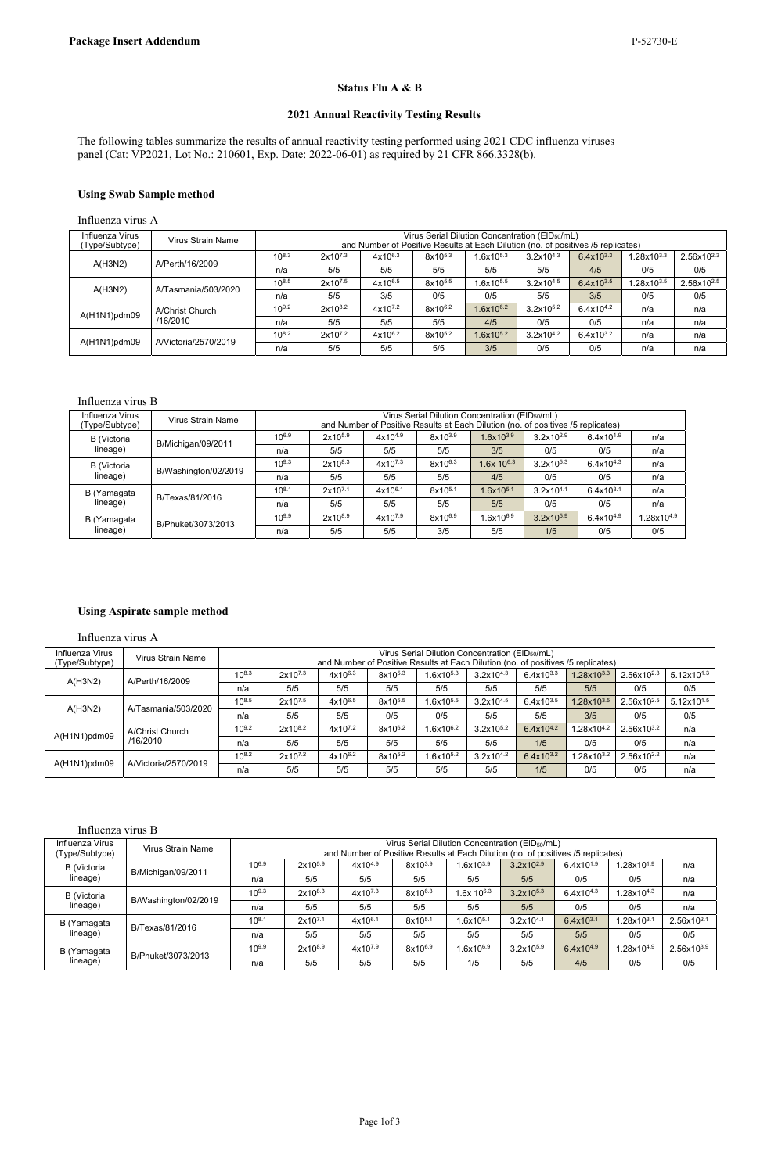The following tables summarize the results of annual reactivity testing performed using 2021 CDC influenza viruses panel (Cat: VP2021, Lot No.: 210601, Exp. Date: 2022-06-01) as required by 21 CFR 866.3328(b).

## **Status Flu A & B**

## **2021 Annual Reactivity Testing Results**

## **Using Swab Sample method**

Influenza virus A

#### Influenza virus B

| Influenza Virus<br>(Type/Subtype) | Virus Strain Name    |            | Virus Serial Dilution Concentration (EID <sub>50</sub> /mL)<br>and Number of Positive Results at Each Dilution (no. of positives /5 replicates) |              |                     |                          |                       |                |                 |  |  |
|-----------------------------------|----------------------|------------|-------------------------------------------------------------------------------------------------------------------------------------------------|--------------|---------------------|--------------------------|-----------------------|----------------|-----------------|--|--|
| <b>B</b> (Victoria                |                      | $10^{6.9}$ | $2x10^{5.9}$                                                                                                                                    | $4x10^{4.9}$ | $8x10^{3.9}$        | $1.6x10^{3.9}$           | $3.2x10^{2.9}$        | $6.4x10^{1.9}$ | n/a             |  |  |
| lineage)                          | B/Michigan/09/2011   | n/a        | 5/5                                                                                                                                             | 5/5          | 5/5                 | 3/5                      | 0/5                   | 0/5            | n/a             |  |  |
| B (Victoria                       |                      | $10^{9.3}$ | $2x10^{8.3}$                                                                                                                                    | $4x10^{7.3}$ | 8x10 <sup>6.3</sup> | $1.6x$ 10 <sup>6.3</sup> | $3.2x10^{5.3}$        | $6.4x10^{4.3}$ | n/a             |  |  |
| lineage)                          | B/Washington/02/2019 | n/a        | 5/5                                                                                                                                             | 5/5          | 5/5                 | 4/5                      | 0/5                   | 0/5            | n/a             |  |  |
| B (Yamagata                       | B/Texas/81/2016      | $10^{8.1}$ | $2x10^{7.1}$                                                                                                                                    | $4x10^{6.1}$ | 8x10 <sup>5.1</sup> | $1.6x10^{5.1}$           | $3.2 \times 10^{4.1}$ | $6.4x10^{3.1}$ | n/a             |  |  |
| lineage)                          |                      | n/a        | 5/5                                                                                                                                             | 5/5          | 5/5                 | 5/5                      | 0/5                   | 0/5            | n/a             |  |  |
| B (Yamagata                       | B/Phuket/3073/2013   | $10^{9.9}$ | $2x10^{8.9}$                                                                                                                                    | $4x10^{7.9}$ | 8x10 <sup>6.9</sup> | $1.6x10^{6.9}$           | $3.2x10^{5.9}$        | $6.4x10^{4.9}$ | $1.28x10^{4.9}$ |  |  |
| lineage)                          |                      | n/a        | 5/5                                                                                                                                             | 5/5          | 3/5                 | 5/5                      | 1/5                   | 0/5            | 0/5             |  |  |

## **Using Aspirate sample method**

Influenza virus A

#### Influenza virus B

| Influenz <sup>-</sup><br>Virus          | Strain        |   |                                         |        | $\overline{\phantom{0}}$<br>Virus<br>serial ' | ∴oncentration<br>ື∪⊓∩⊓                        | $\sim$<br>(EID <sub>50</sub> /mL |                                 |  |  |
|-----------------------------------------|---------------|---|-----------------------------------------|--------|-----------------------------------------------|-----------------------------------------------|----------------------------------|---------------------------------|--|--|
| $\overline{\phantom{a}}$<br>vpe/Subtype | Name<br>Virus |   | and                                     | Number | ≅of Positive<br>Res∪′                         | . .<br>.its at Fach<br><i><b>Dilution</b></i> | ı (nc                            | 下replicates,<br>of positives /5 |  |  |
|                                         |               | . | __<br>.<br>.<br>$ -$<br>.<br>. .<br>. . |        |                                               |                                               |                                  |                                 |  |  |

| <b>B</b> (Victoria | B/Michigan/09/2011   | $10^{6.9}$ | 2x10 <sup>5.9</sup> | $4x10^{4.9}$        | 8x103.9 | $.6x10^{3.9}$  | $3.2x10^{2.9}$ | $6.4x10^{1.9}$ | .28x10 <sup>1.9</sup>  | n/a                    |
|--------------------|----------------------|------------|---------------------|---------------------|---------|----------------|----------------|----------------|------------------------|------------------------|
| lineage)           |                      | n/a        | 5/5                 | 5/5                 | 5/5     | 5/5            | 5/5            | 0/5            | 0/5                    | n/a                    |
| <b>B</b> (Victoria | B/Washington/02/2019 | $10^{9.3}$ | 2x108.3             | 4x10 <sup>7.3</sup> | 8x106.3 | $.6x$ 10 $6.3$ | $3.2x10^{5.3}$ | $6.4x10^{4.3}$ | $.28x10^{4.3}$         | n/a                    |
| lineage)           |                      | n/a        | 5/5                 | 5/5                 | 5/5     | 5/5            | 5/5            | 0/5            | 0/5                    | n/a                    |
| B (Yamagata        | B/Texas/81/2016      | $10^{8.1}$ | $2x10^{7.1}$        | $4x10^{6.1}$        | 8x105.1 | $.6x10^{5.1}$  | $3.2x10^{4.1}$ | $6.4x10^{3.1}$ | $1.28 \times 10^{3.1}$ | 2.56x10 <sup>2.1</sup> |
| lineage)           |                      | n/a        | 5/5                 | 5/5                 | 5/5     | 5/5            | 5/5            | 5/5            | 0/5                    | 0/5                    |
| B (Yamagata        | B/Phuket/3073/2013   | $10^{9.9}$ | 2x108.9             | 4x10 <sup>7.9</sup> | 8x106.9 | $.6x10^{6.9}$  | $3.2x10^{5.9}$ | $6.4x10^{4.9}$ | $.28x10^{4.9}$         | 2.56x103.9             |
| lineage)           |                      | n/a        | 5/5                 | 5/5                 | 5/5     | 1/5            | 5/5            | 4/5            | 0/5                    | 0/5                    |

| Influenza Virus<br>(Type/Subtype) | Virus Strain Name    |            |              |              |                     | Virus Serial Dilution Concentration (EID <sub>50</sub> /mL)<br>and Number of Positive Results at Each Dilution (no. of positives /5 replicates) |                |                |                 |                        |
|-----------------------------------|----------------------|------------|--------------|--------------|---------------------|-------------------------------------------------------------------------------------------------------------------------------------------------|----------------|----------------|-----------------|------------------------|
|                                   | A/Perth/16/2009      | $10^{8.3}$ | $2x10^{7.3}$ | 4x106.3      | 8x10 <sup>5.3</sup> | $1.6x10^{5.3}$                                                                                                                                  | $3.2x10^{4.3}$ | $6.4x10^{3.3}$ | $1.28x10^{3.3}$ | $2.56x10^{2.3}$        |
| A(H3N2)                           |                      | n/a        | 5/5          | 5/5          | 5/5                 | 5/5                                                                                                                                             | 5/5            | 4/5            | 0/5             | 0/5                    |
|                                   | A/Tasmania/503/2020  | $10^{8.5}$ | 2x107.5      | 4x106.5      | 8x10 <sup>5.5</sup> | $1.6x10^{5.5}$                                                                                                                                  | $3.2x10^{4.5}$ | $6.4x10^{3.5}$ | $1.28x10^{3.5}$ | 2.56x10 <sup>2.5</sup> |
| A(H3N2)                           |                      | n/a        | 5/5          | 3/5          | 0/5                 | 0/5                                                                                                                                             | 5/5            | 3/5            | 0/5             | 0/5                    |
|                                   | A/Christ Church      | $10^{9.2}$ | $2x10^{8.2}$ | $4x10^{7.2}$ | $8x10^{6.2}$        | $1.6x10^{6.2}$                                                                                                                                  | $3.2x10^{5.2}$ | $6.4x10^{4.2}$ | n/a             | n/a                    |
| A(H1N1)pdm09                      | /16/2010             | n/a        | 5/5          | 5/5          | 5/5                 | 4/5                                                                                                                                             | 0/5            | 0/5            | n/a             | n/a                    |
|                                   | A/Victoria/2570/2019 | $10^{8.2}$ | 2x107.2      | 4x106.2      | 8x10 <sup>5.2</sup> | $1.6x10^{5.2}$                                                                                                                                  | $3.2x10^{4.2}$ | $6.4x10^{3.2}$ | n/a             | n/a                    |
| A(H1N1)pdm09                      |                      | n/a        | 5/5          | 5/5          | 5/5                 | 3/5                                                                                                                                             | 0/5            | 0/5            | n/a             | n/a                    |

| Influenza Virus<br>(Type/Subtype) | Virus Strain Name    |            |                     | and Number of Positive Results at Each Dilution (no. of positives /5 replicates) |                     | Virus Serial Dilution Concentration (EID <sub>50</sub> /mL) |                |                |                       |                 |                 |
|-----------------------------------|----------------------|------------|---------------------|----------------------------------------------------------------------------------|---------------------|-------------------------------------------------------------|----------------|----------------|-----------------------|-----------------|-----------------|
|                                   |                      |            |                     |                                                                                  |                     |                                                             |                |                |                       |                 |                 |
|                                   | A/Perth/16/2009      | $10^{8.3}$ | 2x107.3             | $4x10^{6.3}$                                                                     | 8x10 <sup>5.3</sup> | 1.6x10 <sup>5.3</sup>                                       | $3.2x10^{4.3}$ | $6.4x10^{3.3}$ | 1.28x103.3            | $2.56x10^{2.3}$ | $5.12x10^{1.3}$ |
| A(H3N2)                           |                      | n/a        | 5/5                 | 5/5                                                                              | 5/5                 | 5/5                                                         | 5/5            | 5/5            | 5/5                   | 0/5             | 0/5             |
|                                   |                      | $10^{8.5}$ | 2x10 <sup>7.5</sup> | 4x106.5                                                                          | 8x10 <sup>5.5</sup> | 1.6x10 <sup>5.5</sup>                                       | $3.2x10^{4.5}$ | $6.4x10^{3.5}$ | 1.28x103.5            | $2.56x10^{2.5}$ | $5.12x10^{1.5}$ |
| A(H3N2)                           | A/Tasmania/503/2020  | n/a        | 5/5                 | 5/5                                                                              | 0/5                 | 0/5                                                         | 5/5            | 5/5            | 3/5                   | 0/5             | 0/5             |
| A(H1N1)pdm09                      | A/Christ Church      | $10^{9.2}$ | 2x108.2             | $4x10^{7.2}$                                                                     | 8x106.2             | 1.6x106.2                                                   | $3.2x10^{5.2}$ | $6.4x10^{4.2}$ | $1.28x10^{4.2}$       | $2.56x10^{3.2}$ | n/a             |
|                                   | /16/2010             | n/a        | 5/5                 | 5/5                                                                              | 5/5                 | 5/5                                                         | 5/5            | 1/5            | 0/5                   | 0/5             | n/a             |
|                                   | A/Victoria/2570/2019 | $10^{8.2}$ | 2x107.2             | $4x10^{6.2}$                                                                     | 8x105.2             | 1.6x10 <sup>5.2</sup>                                       | $3.2x10^{4.2}$ | $6.4x10^{3.2}$ | $1.28$ x10 $^{3.2}\,$ | $2.56x10^{2.2}$ | n/a             |
| A(H1N1)pdm09                      |                      | n/a        | 5/5                 | 5/5                                                                              | 5/5                 | 5/5                                                         | 5/5            | 1/5            | 0/5                   | 0/5             | n/a             |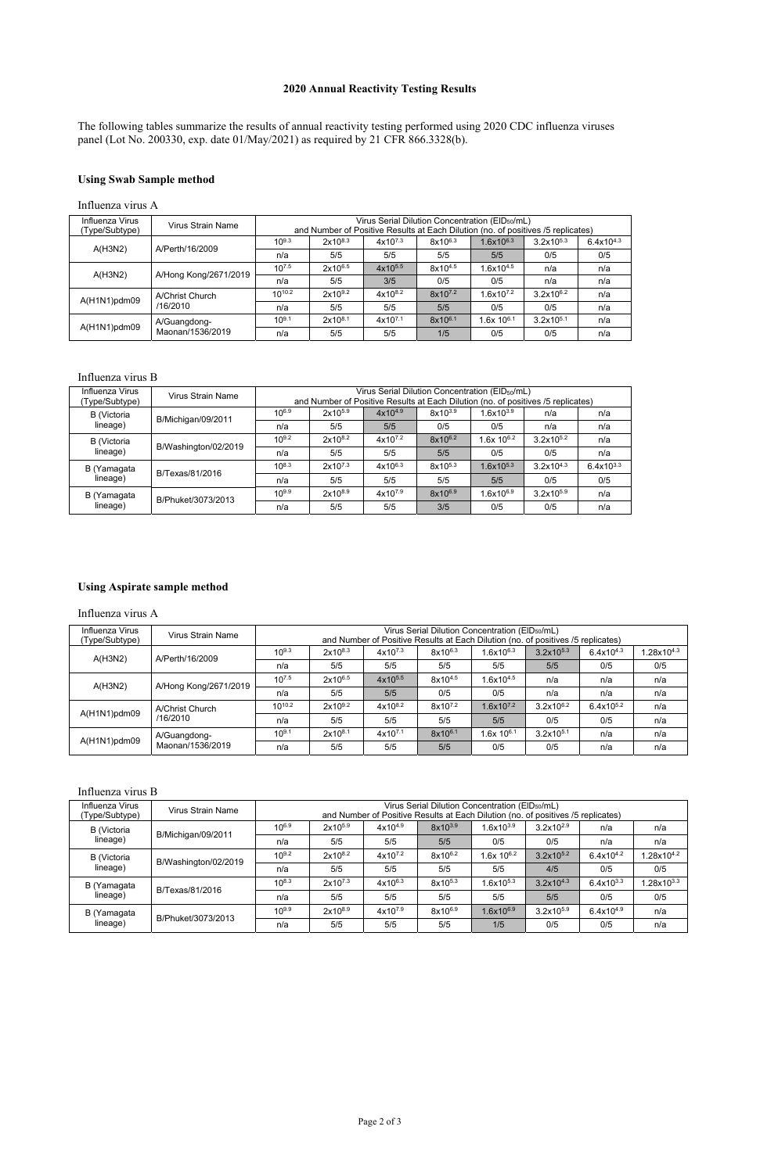# **2020 Annual Reactivity Testing Results**

The following tables summarize the results of annual reactivity testing performed using 2020 CDC influenza viruses panel (Lot No. 200330, exp. date 01/May/2021) as required by 21 CFR 866.3328(b).

## **Using Swab Sample method**

### Influenza virus B

| Influenza Virus<br>(Type/Subtype) | Virus Strain Name    |            |              |              | Virus Serial Dilution Concentration (EID <sub>50</sub> /mL)<br>and Number of Positive Results at Each Dilution (no. of positives /5 replicates) |                          |                       |                |
|-----------------------------------|----------------------|------------|--------------|--------------|-------------------------------------------------------------------------------------------------------------------------------------------------|--------------------------|-----------------------|----------------|
| B (Victoria                       | B/Michigan/09/2011   | $10^{6.9}$ | $2x10^{5.9}$ | $4x10^{4.9}$ | $8x10^{3.9}$                                                                                                                                    | $1.6x10^{3.9}$           | n/a                   | n/a            |
| lineage)                          |                      | n/a        | 5/5          | 5/5          | 0/5                                                                                                                                             | 0/5                      | n/a                   | n/a            |
| <b>B</b> (Victoria                |                      | $10^{9.2}$ | $2x10^{8.2}$ | $4x10^{7.2}$ | $8x10^{6.2}$                                                                                                                                    | $1.6x$ 10 <sup>6.2</sup> | $3.2x10^{5.2}$        | n/a            |
| lineage)                          | B/Washington/02/2019 | n/a        | 5/5          | 5/5          | 5/5                                                                                                                                             | 0/5                      | 0/5                   | n/a            |
| B (Yamagata                       | B/Texas/81/2016      | $10^{8.3}$ | $2x10^{7.3}$ | $4x10^{6.3}$ | $8x10^{5.3}$                                                                                                                                    | $1.6x10^{5.3}$           | $3.2 \times 10^{4.3}$ | $6.4x10^{3.3}$ |
| lineage)                          |                      | n/a        | 5/5          | 5/5          | 5/5                                                                                                                                             | 5/5                      | 0/5                   | 0/5            |
| B (Yamagata                       | B/Phuket/3073/2013   | $10^{9.9}$ | $2x10^{8.9}$ | $4x10^{7.9}$ | $8x10^{6.9}$                                                                                                                                    | $1.6x10^{6.9}$           | $3.2x10^{5.9}$        | n/a            |
| lineage)                          |                      | n/a        | 5/5          | 5/5          | 3/5                                                                                                                                             | 0/5                      | 0/5                   | n/a            |

## **Using Aspirate sample method**

Influenza virus A

### Influenza virus B

|                                   | Influenza virus A     |                    |              |                     |              |                                                                                                                                                 |                |                |  |  |  |
|-----------------------------------|-----------------------|--------------------|--------------|---------------------|--------------|-------------------------------------------------------------------------------------------------------------------------------------------------|----------------|----------------|--|--|--|
| Influenza Virus<br>(Type/Subtype) | Virus Strain Name     |                    |              |                     |              | Virus Serial Dilution Concentration (EID <sub>50</sub> /mL)<br>and Number of Positive Results at Each Dilution (no. of positives /5 replicates) |                |                |  |  |  |
|                                   | A/Perth/16/2009       | $10^{9.3}$         | $2x10^{8.3}$ | $4x10^{7.3}$        | $8x10^{6.3}$ | $1.6x10^{6.3}$                                                                                                                                  | $3.2x10^{5.3}$ | $6.4x10^{4.3}$ |  |  |  |
| A(H3N2)                           |                       | n/a                | 5/5          | 5/5                 | 5/5          | 5/5                                                                                                                                             | 0/5            | 0/5            |  |  |  |
|                                   |                       | $10^{7.5}$         | $2x10^{6.5}$ | $4x10^{5.5}$        | $8x10^{4.5}$ | $1.6x10^{4.5}$                                                                                                                                  | n/a            | n/a            |  |  |  |
| A(H3N2)                           | A/Hong Kong/2671/2019 | n/a                | 5/5          | 3/5                 | 0/5          | 0/5                                                                                                                                             | n/a            | n/a            |  |  |  |
|                                   | A/Christ Church       | 10 <sup>10.2</sup> | $2x10^{9.2}$ | $4x10^{8.2}$        | $8x10^{7.2}$ | $1.6x10^{7.2}$                                                                                                                                  | $3.2x10^{6.2}$ | n/a            |  |  |  |
| A(H1N1)pdm09                      | /16/2010              | n/a                | 5/5          | 5/5                 | 5/5          | 0/5                                                                                                                                             | 0/5            | n/a            |  |  |  |
|                                   | A/Guangdong-          | $10^{9.1}$         | $2x10^{8.1}$ | 4x10 <sup>7.1</sup> | $8x10^{6.1}$ | $1.6x$ 10 $6.1$                                                                                                                                 | $3.2x10^{5.1}$ | n/a            |  |  |  |
| $A(H1N1)$ pdm09                   | Maonan/1536/2019      | n/a                | 5/5          | 5/5                 | 1/5          | 0/5                                                                                                                                             | 0/5            | n/a            |  |  |  |

| Influenza Virus<br>(Type/Subtype) | <b>Virus Strain Name</b> |            |              |              | Virus Serial Dilution Concentration (EID <sub>50</sub> /mL)<br>and Number of Positive Results at Each Dilution (no. of positives /5 replicates) |                          |                |                |                 |
|-----------------------------------|--------------------------|------------|--------------|--------------|-------------------------------------------------------------------------------------------------------------------------------------------------|--------------------------|----------------|----------------|-----------------|
| <b>B</b> (Victoria                | B/Michigan/09/2011       | $10^{6.9}$ | $2x10^{5.9}$ | $4x10^{4.9}$ | 8x10 <sup>3.9</sup>                                                                                                                             | $1.6x10^{3.9}$           | $3.2x10^{2.9}$ | n/a            | n/a             |
| lineage)                          |                          | n/a        | 5/5          | 5/5          | 5/5                                                                                                                                             | 0/5                      | 0/5            | n/a            | n/a             |
| <b>B</b> (Victoria                |                          | $10^{9.2}$ | $2x10^{8.2}$ | $4x10^{7.2}$ | $8x10^{6.2}$                                                                                                                                    | $1.6x$ 10 <sup>6.2</sup> | $3.2x10^{5.2}$ | $6.4x10^{4.2}$ | $1.28x10^{4.2}$ |
| lineage)                          | B/Washington/02/2019     | n/a        | 5/5          | 5/5          | 5/5                                                                                                                                             | 5/5                      | 4/5            | 0/5            | 0/5             |
| B (Yamagata                       | B/Texas/81/2016          | $10^{8.3}$ | $2x10^{7.3}$ | $4x10^{6.3}$ | 8x10 <sup>5.3</sup>                                                                                                                             | $1.6x10^{5.3}$           | $3.2x10^{4.3}$ | $6.4x10^{3.3}$ | $1.28x10^{3.3}$ |
| lineage)                          |                          | n/a        | 5/5          | 5/5          | 5/5                                                                                                                                             | 5/5                      | 5/5            | 0/5            | 0/5             |
| B (Yamagata                       | B/Phuket/3073/2013       | $10^{9.9}$ | $2x10^{8.9}$ | $4x10^{7.9}$ | 8x106.9                                                                                                                                         | $1.6$ x10 $^{6.9}\,$     | $3.2x10^{5.9}$ | $6.4x10^{4.9}$ | n/a             |
| lineage)                          |                          | n/a        | 5/5          | 5/5          | 5/5                                                                                                                                             | 1/5                      | 0/5            | 0/5            | n/a             |

| Influenza Virus<br>(Type/Subtype) | Virus Strain Name     |             | Virus Serial Dilution Concentration (EID <sub>50</sub> /mL)<br>and Number of Positive Results at Each Dilution (no. of positives /5 replicates) |              |                     |                          |                |                |                 |  |  |  |
|-----------------------------------|-----------------------|-------------|-------------------------------------------------------------------------------------------------------------------------------------------------|--------------|---------------------|--------------------------|----------------|----------------|-----------------|--|--|--|
|                                   | A/Perth/16/2009       | $10^{9.3}$  | $2x10^{8.3}$                                                                                                                                    | $4x10^{7.3}$ | $8x10^{6.3}$        | $.6x10^{6.3}$            | $3.2x10^{5.3}$ | $6.4x10^{4.3}$ | $1.28x10^{4.3}$ |  |  |  |
| A(H3N2)                           |                       | n/a         | 5/5                                                                                                                                             | 5/5          | 5/5                 | 5/5                      | 5/5            | 0/5            | 0/5             |  |  |  |
|                                   |                       | $10^{7.5}$  | $2x10^{6.5}$                                                                                                                                    | $4x10^{5.5}$ | $8x10^{4.5}$        | $.6x10^{4.5}$            | n/a            | n/a            | n/a             |  |  |  |
| A(H3N2)                           | A/Hong Kong/2671/2019 | n/a         | 5/5                                                                                                                                             | 5/5          | 0/5                 | 0/5                      | n/a            | n/a            | n/a             |  |  |  |
|                                   | A/Christ Church       | $10^{10.2}$ | $2x10^{9.2}$                                                                                                                                    | $4x10^{8.2}$ | 8x10 <sup>7.2</sup> | $.6x10^{7.2}$            | $3.2x10^{6.2}$ | $6.4x10^{5.2}$ | n/a             |  |  |  |
| $A(H1N1)$ pdm09                   | /16/2010              | n/a         | 5/5                                                                                                                                             | 5/5          | 5/5                 | 5/5                      | 0/5            | 0/5            | n/a             |  |  |  |
|                                   | A/Guangdong-          | $10^{9.1}$  | $2x10^{8.1}$                                                                                                                                    | $4x10^{7.1}$ | 8x10 <sup>6.1</sup> | $1.6x$ 10 <sup>6.1</sup> | $3.2x10^{5.1}$ | n/a            | n/a             |  |  |  |
| A(H1N1)pdm09                      | Maonan/1536/2019      | n/a         | 5/5                                                                                                                                             | 5/5          | 5/5                 | 0/5                      | 0/5            | n/a            | n/a             |  |  |  |